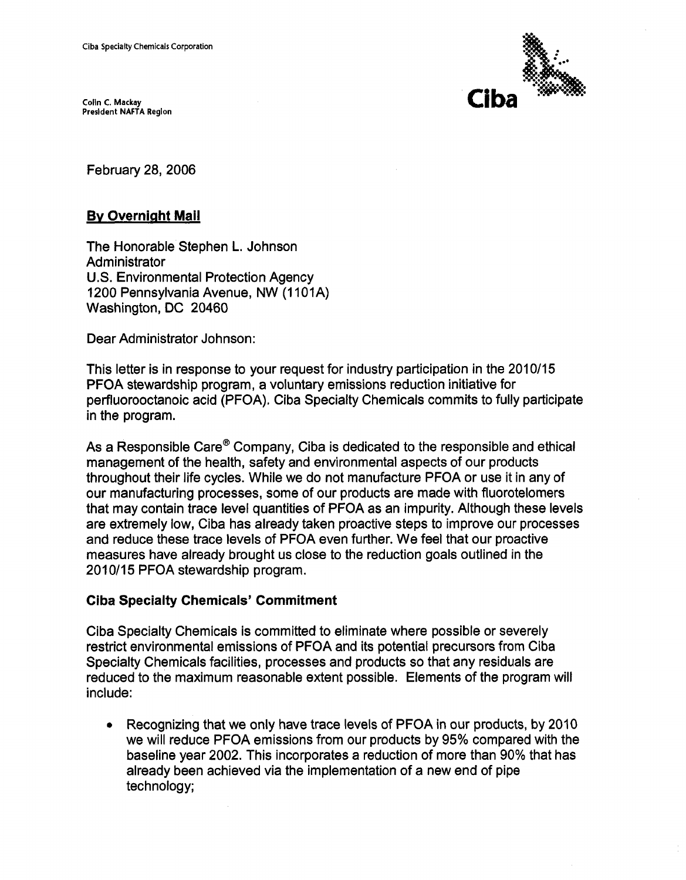**Colin C. Mackay Presldent NAFTA Region** 



February 28,2006

## **By Overnight Mail**

The Honorable Stephen L. Johnson Administrator U.S. Environmental Protection Agency 1200 Pennsylvania Avenue, NW (1101A) Washington, DC 20460

Dear Administrator Johnson:

This letter is in response to your request for industry participation in the 2010/15 PFOA stewardship program, a voluntary emissions reduction initiative for perfluorooctanoic acid (PFOA). Ciba Specialty Chemicals commits to fully participate in the program.

As a Responsible Care<sup>®</sup> Company, Ciba is dedicated to the responsible and ethical management of the health, safety and environmental aspects of our products throughout their life cycles. While we do not manufacture PFOA or use it in any of our manufacturing processes, some of our products are made with fluorotelomers that may contain trace level quantities of PFOA as an impurity. Although these levels are extremely low, Ciba has already taken proactive steps to improve our processes and reduce these trace levels of PFOA even further. We feel that our proactive measures have already brought us close to the reduction goals outlined in the 201011**5** PFOA stewardship program.

## **Ciba Specialty Chemicals' Commitment**

Ciba Specialty Chemicals is committed to eliminate where possible or severely restrict environmental emissions of PFOA and its potential precursors from Ciba Specialty Chemicals facilities, processes and products so that any residuals are reduced to the maximum reasonable extent possible. Elements of the program will include:

Recognizing that we only have trace levels of PFOA in our products, by 2010 we will reduce PFOA emissions from our products by 95% compared with the baseline year 2002. This incorporates a reduction of more than 90% that has already been achieved via the implementation of a new end of pipe technology;